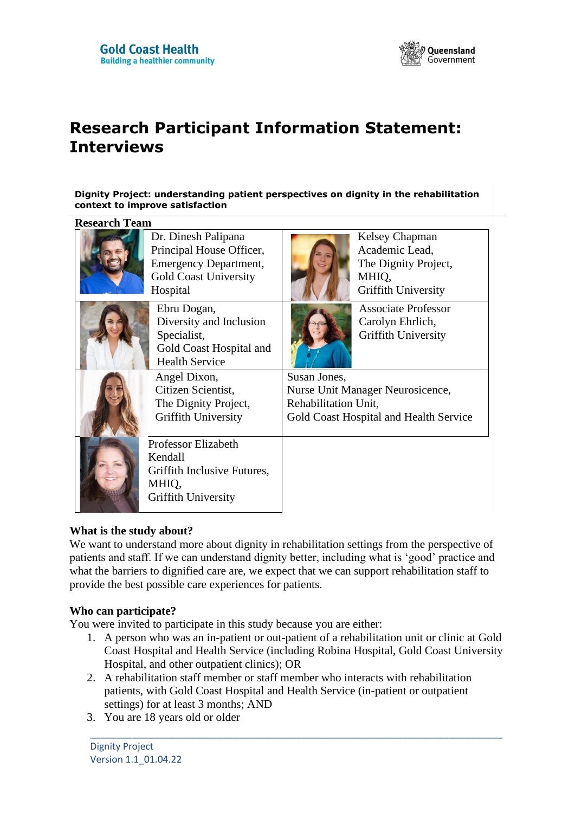

# **Research Participant Information Statement: Interviews**

#### **Dignity Project: understanding patient perspectives on dignity in the rehabilitation context to improve satisfaction**

| <b>Research Team</b> |                                                                                                                             |                                                                                                                    |                                                                                                 |  |
|----------------------|-----------------------------------------------------------------------------------------------------------------------------|--------------------------------------------------------------------------------------------------------------------|-------------------------------------------------------------------------------------------------|--|
|                      | Dr. Dinesh Palipana<br>Principal House Officer,<br><b>Emergency Department,</b><br><b>Gold Coast University</b><br>Hospital |                                                                                                                    | Kelsey Chapman<br>Academic Lead,<br>The Dignity Project,<br>MHIQ,<br><b>Griffith University</b> |  |
|                      | Ebru Dogan,<br>Diversity and Inclusion<br>Specialist,<br>Gold Coast Hospital and<br><b>Health Service</b>                   |                                                                                                                    | <b>Associate Professor</b><br>Carolyn Ehrlich,<br><b>Griffith University</b>                    |  |
|                      | Angel Dixon,<br>Citizen Scientist,<br>The Dignity Project,<br><b>Griffith University</b>                                    | Susan Jones,<br>Nurse Unit Manager Neurosicence,<br>Rehabilitation Unit,<br>Gold Coast Hospital and Health Service |                                                                                                 |  |
|                      | Professor Elizabeth<br>Kendall<br>Griffith Inclusive Futures,<br>MHIQ,<br>Griffith University                               |                                                                                                                    |                                                                                                 |  |

### **What is the study about?**

We want to understand more about dignity in rehabilitation settings from the perspective of patients and staff. If we can understand dignity better, including what is 'good' practice and what the barriers to dignified care are, we expect that we can support rehabilitation staff to provide the best possible care experiences for patients.

### **Who can participate?**

You were invited to participate in this study because you are either:

1. A person who was an in-patient or out-patient of a rehabilitation unit or clinic at Gold Coast Hospital and Health Service (including Robina Hospital, Gold Coast University Hospital, and other outpatient clinics); OR

\_\_\_\_\_\_\_\_\_\_\_\_\_\_\_\_\_\_\_\_\_\_\_\_\_\_\_\_\_\_\_\_\_\_\_\_\_\_\_\_\_\_\_\_\_\_\_\_\_\_\_\_\_\_\_\_\_\_\_\_\_\_\_\_\_\_\_\_\_\_\_\_\_\_\_\_\_\_

- 2. A rehabilitation staff member or staff member who interacts with rehabilitation patients, with Gold Coast Hospital and Health Service (in-patient or outpatient settings) for at least 3 months; AND
- 3. You are 18 years old or older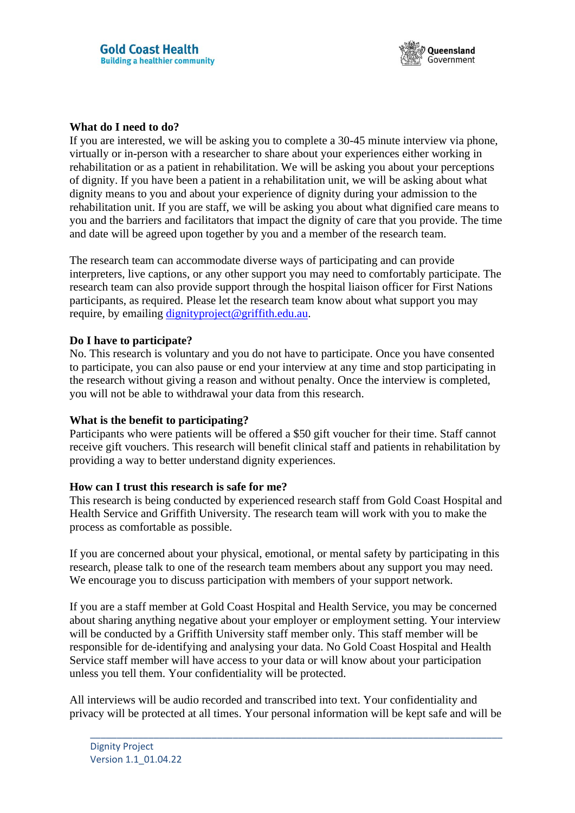

#### **What do I need to do?**

If you are interested, we will be asking you to complete a 30-45 minute interview via phone, virtually or in-person with a researcher to share about your experiences either working in rehabilitation or as a patient in rehabilitation. We will be asking you about your perceptions of dignity. If you have been a patient in a rehabilitation unit, we will be asking about what dignity means to you and about your experience of dignity during your admission to the rehabilitation unit. If you are staff, we will be asking you about what dignified care means to you and the barriers and facilitators that impact the dignity of care that you provide. The time and date will be agreed upon together by you and a member of the research team.

The research team can accommodate diverse ways of participating and can provide interpreters, live captions, or any other support you may need to comfortably participate. The research team can also provide support through the hospital liaison officer for First Nations participants, as required. Please let the research team know about what support you may require, by emailing [dignityproject@griffith.edu.au.](mailto:dignityproject@griffith.edu.au)

#### **Do I have to participate?**

No. This research is voluntary and you do not have to participate. Once you have consented to participate, you can also pause or end your interview at any time and stop participating in the research without giving a reason and without penalty. Once the interview is completed, you will not be able to withdrawal your data from this research.

### **What is the benefit to participating?**

Participants who were patients will be offered a \$50 gift voucher for their time. Staff cannot receive gift vouchers. This research will benefit clinical staff and patients in rehabilitation by providing a way to better understand dignity experiences.

### **How can I trust this research is safe for me?**

This research is being conducted by experienced research staff from Gold Coast Hospital and Health Service and Griffith University. The research team will work with you to make the process as comfortable as possible.

If you are concerned about your physical, emotional, or mental safety by participating in this research, please talk to one of the research team members about any support you may need. We encourage you to discuss participation with members of your support network.

If you are a staff member at Gold Coast Hospital and Health Service, you may be concerned about sharing anything negative about your employer or employment setting. Your interview will be conducted by a Griffith University staff member only. This staff member will be responsible for de-identifying and analysing your data. No Gold Coast Hospital and Health Service staff member will have access to your data or will know about your participation unless you tell them. Your confidentiality will be protected.

All interviews will be audio recorded and transcribed into text. Your confidentiality and privacy will be protected at all times. Your personal information will be kept safe and will be

\_\_\_\_\_\_\_\_\_\_\_\_\_\_\_\_\_\_\_\_\_\_\_\_\_\_\_\_\_\_\_\_\_\_\_\_\_\_\_\_\_\_\_\_\_\_\_\_\_\_\_\_\_\_\_\_\_\_\_\_\_\_\_\_\_\_\_\_\_\_\_\_\_\_\_\_\_\_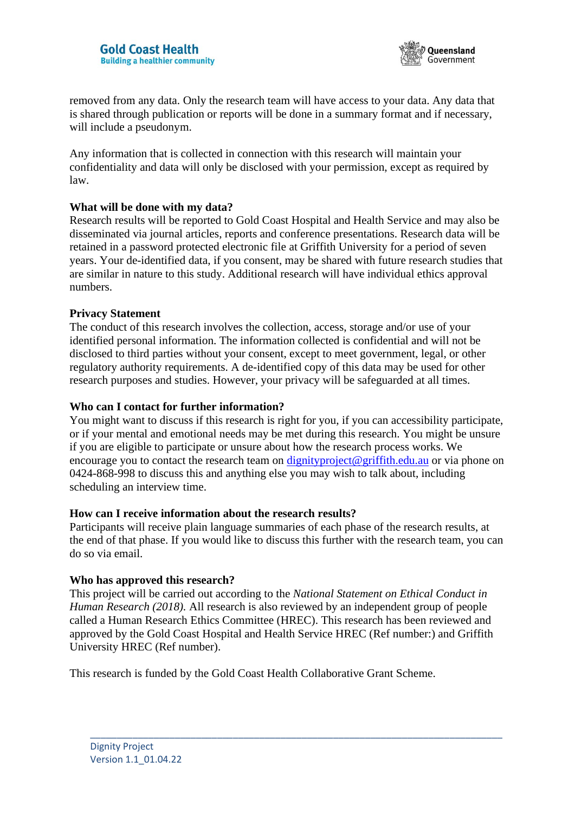

removed from any data. Only the research team will have access to your data. Any data that is shared through publication or reports will be done in a summary format and if necessary, will include a pseudonym.

Any information that is collected in connection with this research will maintain your confidentiality and data will only be disclosed with your permission, except as required by law.

#### **What will be done with my data?**

Research results will be reported to Gold Coast Hospital and Health Service and may also be disseminated via journal articles, reports and conference presentations. Research data will be retained in a password protected electronic file at Griffith University for a period of seven years. Your de-identified data, if you consent, may be shared with future research studies that are similar in nature to this study. Additional research will have individual ethics approval numbers.

#### **Privacy Statement**

The conduct of this research involves the collection, access, storage and/or use of your identified personal information. The information collected is confidential and will not be disclosed to third parties without your consent, except to meet government, legal, or other regulatory authority requirements. A de-identified copy of this data may be used for other research purposes and studies. However, your privacy will be safeguarded at all times.

#### **Who can I contact for further information?**

You might want to discuss if this research is right for you, if you can accessibility participate, or if your mental and emotional needs may be met during this research. You might be unsure if you are eligible to participate or unsure about how the research process works. We encourage you to contact the research team on [dignityproject@griffith.edu.au](mailto:dignityproject@griffith.edu.au) or via phone on 0424-868-998 to discuss this and anything else you may wish to talk about, including scheduling an interview time.

#### **How can I receive information about the research results?**

Participants will receive plain language summaries of each phase of the research results, at the end of that phase. If you would like to discuss this further with the research team, you can do so via email.

### **Who has approved this research?**

This project will be carried out according to the *National Statement on Ethical Conduct in Human Research (2018).* All research is also reviewed by an independent group of people called a Human Research Ethics Committee (HREC). This research has been reviewed and approved by the Gold Coast Hospital and Health Service HREC (Ref number:) and Griffith University HREC (Ref number).

\_\_\_\_\_\_\_\_\_\_\_\_\_\_\_\_\_\_\_\_\_\_\_\_\_\_\_\_\_\_\_\_\_\_\_\_\_\_\_\_\_\_\_\_\_\_\_\_\_\_\_\_\_\_\_\_\_\_\_\_\_\_\_\_\_\_\_\_\_\_\_\_\_\_\_\_\_\_

This research is funded by the Gold Coast Health Collaborative Grant Scheme.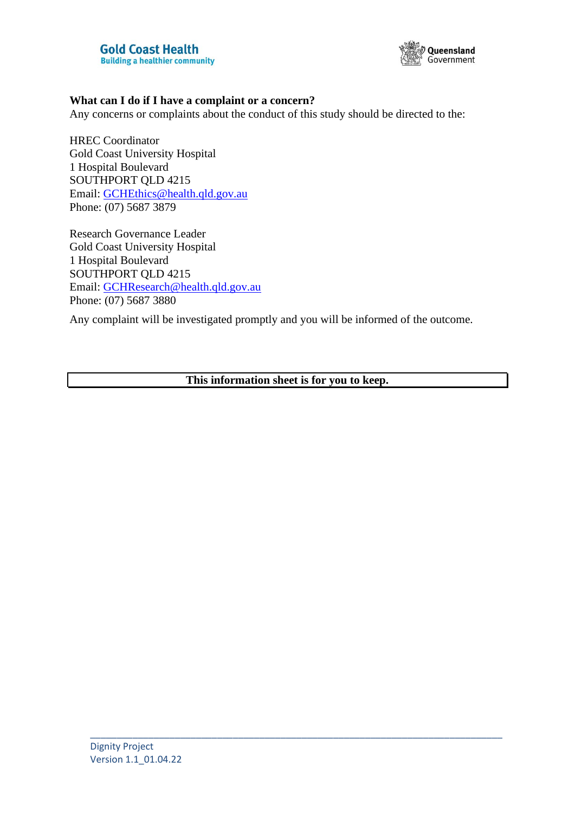

#### **What can I do if I have a complaint or a concern?**

Any concerns or complaints about the conduct of this study should be directed to the:

HREC Coordinator Gold Coast University Hospital 1 Hospital Boulevard SOUTHPORT QLD 4215 Email: [GCHEthics@health.qld.gov.au](mailto:GCHEthics@health.qld.gov.au) Phone: (07) 5687 3879

Research Governance Leader Gold Coast University Hospital 1 Hospital Boulevard SOUTHPORT QLD 4215 Email: [GCHResearch@health.qld.gov.au](mailto:GCHResearch@health.qld.gov.au) Phone: (07) 5687 3880

Any complaint will be investigated promptly and you will be informed of the outcome.

**This information sheet is for you to keep.**

\_\_\_\_\_\_\_\_\_\_\_\_\_\_\_\_\_\_\_\_\_\_\_\_\_\_\_\_\_\_\_\_\_\_\_\_\_\_\_\_\_\_\_\_\_\_\_\_\_\_\_\_\_\_\_\_\_\_\_\_\_\_\_\_\_\_\_\_\_\_\_\_\_\_\_\_\_\_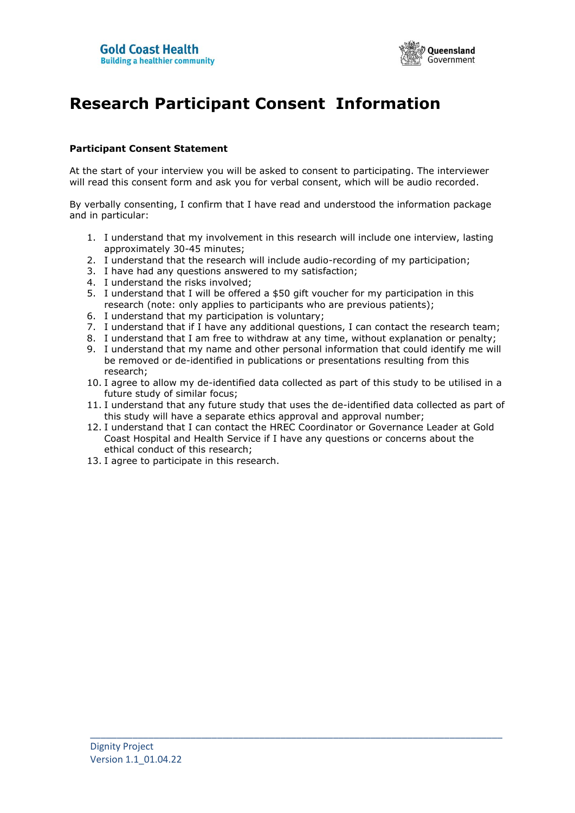

## **Research Participant Consent Information**

#### **Participant Consent Statement**

At the start of your interview you will be asked to consent to participating. The interviewer will read this consent form and ask you for verbal consent, which will be audio recorded.

By verbally consenting, I confirm that I have read and understood the information package and in particular:

- 1. I understand that my involvement in this research will include one interview, lasting approximately 30-45 minutes;
- 2. I understand that the research will include audio-recording of my participation;
- 3. I have had any questions answered to my satisfaction;
- 4. I understand the risks involved;
- 5. I understand that I will be offered a \$50 gift voucher for my participation in this research (note: only applies to participants who are previous patients);
- 6. I understand that my participation is voluntary;
- 7. I understand that if I have any additional questions, I can contact the research team;
- 8. I understand that I am free to withdraw at any time, without explanation or penalty;
- 9. I understand that my name and other personal information that could identify me will be removed or de-identified in publications or presentations resulting from this research;
- 10. I agree to allow my de-identified data collected as part of this study to be utilised in a future study of similar focus;
- 11. I understand that any future study that uses the de-identified data collected as part of this study will have a separate ethics approval and approval number;
- 12. I understand that I can contact the HREC Coordinator or Governance Leader at Gold Coast Hospital and Health Service if I have any questions or concerns about the ethical conduct of this research;

\_\_\_\_\_\_\_\_\_\_\_\_\_\_\_\_\_\_\_\_\_\_\_\_\_\_\_\_\_\_\_\_\_\_\_\_\_\_\_\_\_\_\_\_\_\_\_\_\_\_\_\_\_\_\_\_\_\_\_\_\_\_\_\_\_\_\_\_\_\_\_\_\_\_\_\_\_\_

13. I agree to participate in this research.